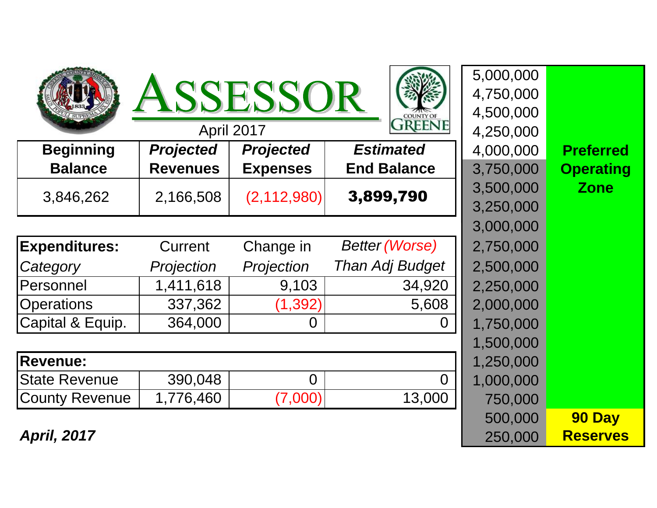| <b>ASSESSOR</b><br><b>COUNTY OF</b><br><b>GREENE</b><br>April 2017 |                  |                  |                       | 5,000,000<br>4,750,000<br>4,500,000<br>4,250,000 |                  |
|--------------------------------------------------------------------|------------------|------------------|-----------------------|--------------------------------------------------|------------------|
| <b>Beginning</b>                                                   | <b>Projected</b> | <b>Projected</b> | <b>Estimated</b>      | 4,000,000                                        | <b>Preferred</b> |
| <b>Balance</b>                                                     | <b>Revenues</b>  | <b>Expenses</b>  | <b>End Balance</b>    | 3,750,000                                        | <b>Operating</b> |
| 3,846,262                                                          | 2,166,508        | (2, 112, 980)    | 3,899,790             | 3,500,000<br>3,250,000                           | <b>Zone</b>      |
|                                                                    |                  |                  |                       | 3,000,000                                        |                  |
| <b>Expenditures:</b>                                               | Current          | Change in        | <b>Better (Worse)</b> | 2,750,000                                        |                  |
| Category                                                           | Projection       | Projection       | Than Adj Budget       | 2,500,000                                        |                  |
| <b>Personnel</b>                                                   | 1,411,618        | 9,103            | 34,920                | 2,250,000                                        |                  |
| <b>Operations</b>                                                  | 337,362          | (1, 392)         | 5,608                 | 2,000,000                                        |                  |
| Capital & Equip.                                                   | 364,000          | 0                |                       | 1,750,000                                        |                  |
|                                                                    |                  |                  |                       | 1,500,000                                        |                  |
| <b>Revenue:</b>                                                    |                  |                  |                       | 1,250,000                                        |                  |
| <b>State Revenue</b>                                               | 390,048          | $\overline{0}$   | $\Omega$              | 1,000,000                                        |                  |
| County Revenue                                                     | 1,776,460        | (7,000)          | 13,000                | 750,000                                          |                  |
|                                                                    |                  |                  |                       | 500,000                                          | 90 Day           |
| <b>April, 2017</b>                                                 |                  |                  |                       | 250,000                                          | <b>Reserves</b>  |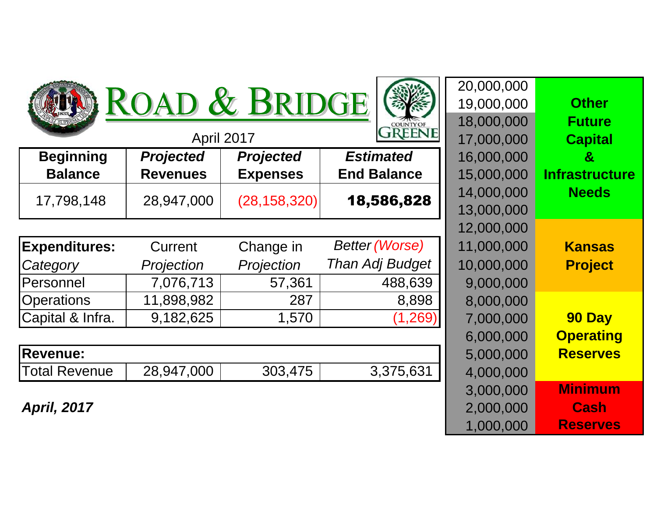| 20,000,000<br>ROAD & BRIDGE<br>19,000,000<br>18,000,000<br><b>COUNTY OF</b><br><b>REENE</b> |                  |                  |                       |            | <b>Other</b><br><b>Future</b> |
|---------------------------------------------------------------------------------------------|------------------|------------------|-----------------------|------------|-------------------------------|
|                                                                                             | April 2017       |                  |                       | 17,000,000 | <b>Capital</b>                |
| <b>Beginning</b>                                                                            | <b>Projected</b> | <b>Projected</b> | <b>Estimated</b>      | 16,000,000 | &                             |
| <b>Balance</b>                                                                              | <b>Revenues</b>  | <b>Expenses</b>  | <b>End Balance</b>    | 15,000,000 | <b>Infrastructure</b>         |
| 17,798,148                                                                                  | 28,947,000       | (28, 158, 320)   | 18,586,828            | 14,000,000 | <b>Needs</b>                  |
|                                                                                             |                  |                  |                       | 13,000,000 |                               |
|                                                                                             |                  |                  |                       | 12,000,000 |                               |
| <b>Expenditures:</b>                                                                        | Current          | Change in        | <b>Better (Worse)</b> | 11,000,000 | <b>Kansas</b>                 |
| Category                                                                                    | Projection       | Projection       | Than Adj Budget       | 10,000,000 | <b>Project</b>                |
| Personnel                                                                                   | 7,076,713        | 57,361           | 488,639               | 9,000,000  |                               |
| <b>Operations</b>                                                                           | 11,898,982       | 287              | 8,898                 | 8,000,000  |                               |
| Capital & Infra.                                                                            | 9,182,625        | 1,570            | (1, 269)              | 7,000,000  | 90 Day                        |
|                                                                                             |                  |                  |                       | 6,000,000  | <b>Operating</b>              |
| Revenue:                                                                                    |                  |                  |                       | 5,000,000  | <b>Reserves</b>               |
| <b>Total Revenue</b>                                                                        | 28,947,000       | 303,475          | 3,375,631             | 4,000,000  |                               |
|                                                                                             |                  |                  |                       | 3,000,000  | <b>Minimum</b>                |
| <b>April, 2017</b>                                                                          |                  |                  |                       | 2,000,000  | <b>Cash</b>                   |

**Reserves**

1,000,000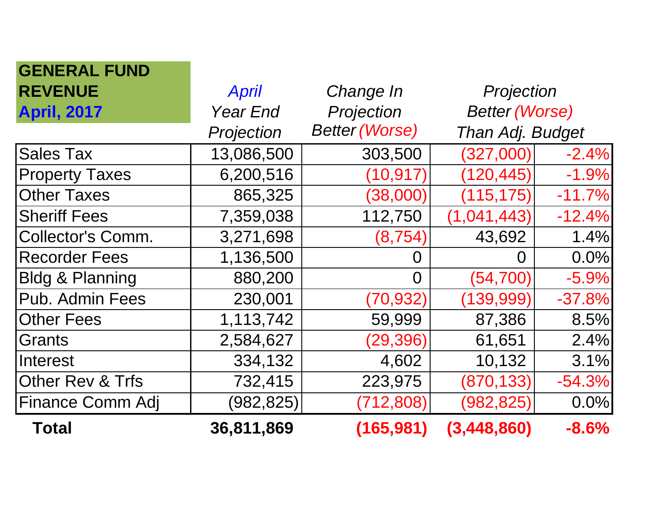| <b>GENERAL FUND</b>        |                 |                       |                       |          |
|----------------------------|-----------------|-----------------------|-----------------------|----------|
| <b>REVENUE</b>             | <b>April</b>    | Change In             | Projection            |          |
| <b>April, 2017</b>         | <b>Year End</b> | Projection            | <b>Better (Worse)</b> |          |
|                            | Projection      | <b>Better (Worse)</b> | Than Adj. Budget      |          |
| <b>Sales Tax</b>           | 13,086,500      | 303,500               | (327,000)             | $-2.4%$  |
| <b>Property Taxes</b>      | 6,200,516       | (10, 917)             | (120, 445)            | $-1.9%$  |
| <b>Other Taxes</b>         | 865,325         | (38,000)              | (115, 175)            | $-11.7%$ |
| <b>Sheriff Fees</b>        | 7,359,038       | 112,750               | (1,041,443)           | $-12.4%$ |
| <b>Collector's Comm.</b>   | 3,271,698       | (8, 754)              | 43,692                | 1.4%     |
| <b>Recorder Fees</b>       | 1,136,500       | O                     | O                     | $0.0\%$  |
| <b>Bldg &amp; Planning</b> | 880,200         | $\Omega$              | (54, 700)             | $-5.9%$  |
| Pub. Admin Fees            | 230,001         | (70, 932)             | (139, 999)            | $-37.8%$ |
| <b>Other Fees</b>          | 1,113,742       | 59,999                | 87,386                | 8.5%     |
| <b>Grants</b>              | 2,584,627       | (29, 396)             | 61,651                | 2.4%     |
| <b>Interest</b>            | 334,132         | 4,602                 | 10,132                | 3.1%     |
| Other Rev & Trfs           | 732,415         | 223,975               | (870, 133)            | $-54.3%$ |
| Finance Comm Adj           | (982,825)       | (712, 808)            | (982,825)             | 0.0%     |
| Total                      | 36,811,869      | (165, 981)            | (3,448,860)           | $-8.6%$  |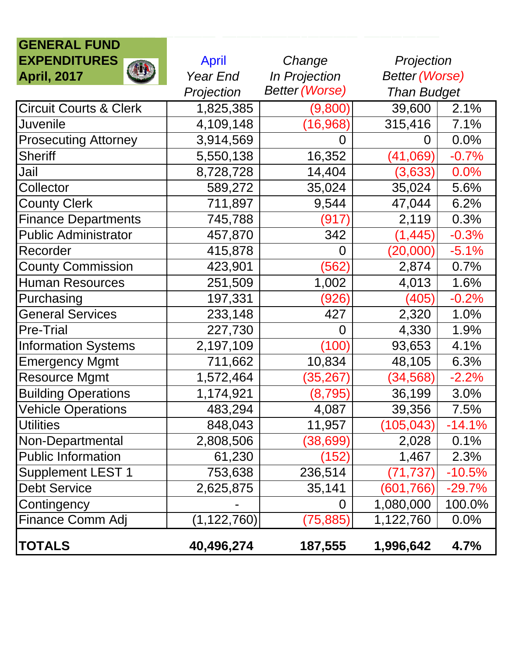| <b>GENERAL FUND</b>               |                 |                       |                       |          |
|-----------------------------------|-----------------|-----------------------|-----------------------|----------|
| <b>EXPENDITURES</b>               | <b>April</b>    | Change                | Projection            |          |
| <b>April, 2017</b>                | <b>Year End</b> | In Projection         | <b>Better (Worse)</b> |          |
|                                   | Projection      | <b>Better (Worse)</b> | <b>Than Budget</b>    |          |
| <b>Circuit Courts &amp; Clerk</b> | 1,825,385       | (9,800)               | 39,600                | 2.1%     |
| <b>Juvenile</b>                   | 4,109,148       | (16, 968)             | 315,416               | 7.1%     |
| <b>Prosecuting Attorney</b>       | 3,914,569       | 0                     | 0                     | 0.0%     |
| <b>Sheriff</b>                    | 5,550,138       | 16,352                | (41,069)              | $-0.7%$  |
| Jail                              | 8,728,728       | 14,404                | (3,633)               | 0.0%     |
| Collector                         | 589,272         | 35,024                | 35,024                | 5.6%     |
| <b>County Clerk</b>               | 711,897         | 9,544                 | 47,044                | 6.2%     |
| <b>Finance Departments</b>        | 745,788         | (917)                 | 2,119                 | 0.3%     |
| <b>Public Administrator</b>       | 457,870         | 342                   | (1, 445)              | $-0.3%$  |
| Recorder                          | 415,878         | 0                     | (20,000)              | $-5.1%$  |
| <b>County Commission</b>          | 423,901         | (562)                 | 2,874                 | 0.7%     |
| <b>Human Resources</b>            | 251,509         | 1,002                 | 4,013                 | 1.6%     |
| Purchasing                        | 197,331         | (926)                 | (405)                 | $-0.2%$  |
| <b>General Services</b>           | 233,148         | 427                   | 2,320                 | 1.0%     |
| <b>Pre-Trial</b>                  | 227,730         | $\overline{0}$        | 4,330                 | 1.9%     |
| <b>Information Systems</b>        | 2,197,109       | (100)                 | 93,653                | 4.1%     |
| <b>Emergency Mgmt</b>             | 711,662         | 10,834                | 48,105                | 6.3%     |
| <b>Resource Mgmt</b>              | 1,572,464       | (35,267)              | (34, 568)             | $-2.2%$  |
| <b>Building Operations</b>        | 1,174,921       | (8,795)               | 36,199                | 3.0%     |
| Vehicle Operations                | 483,294         | 4,087                 | 39,356                | 7.5%     |
| <b>Utilities</b>                  | 848,043         | 11,957                | (105, 043)            | $-14.1%$ |
| Non-Departmental                  | 2,808,506       | (38,699)              | 2,028                 | 0.1%     |
| <b>Public Information</b>         | 61,230          | (152)                 | 1,467                 | 2.3%     |
| <b>Supplement LEST 1</b>          | 753,638         | 236,514               | $(71,\!737)$          | $-10.5%$ |
| <b>Debt Service</b>               | 2,625,875       | 35,141                | (601,766)             | $-29.7%$ |
| Contingency                       |                 | 0                     | 1,080,000             | 100.0%   |
| Finance Comm Adj                  | (1, 122, 760)   | (75, 885)             | 1,122,760             | 0.0%     |
| <b>TOTALS</b>                     | 40,496,274      | 187,555               | 1,996,642             | 4.7%     |